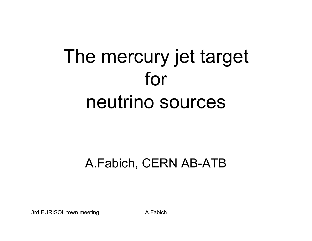# The mercury jet target for neutrino sources

#### A.Fabich, CERN AB-ATB

3rd EURISOL town meeting A.Fabich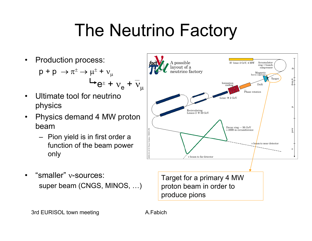### The Neutrino Factory

- •Production process:  $\mathsf{p}\, \texttt{+}\, \mathsf{p}\, \rightarrow \pi^{\scriptscriptstyle{\pm}} \rightarrow \mu^{\scriptscriptstyle{\pm}} \,\texttt{+}\, \mathsf{v}_{\scriptscriptstyle{\mu}}$  $e^{\pm} + v_{e} + v_{\mu}$
- •Ultimate tool for neutrino physics
- •Physics demand 4 MW proton beam
	- Pion yield is in first order a function of the beam power only
- •"smaller" ν-sources: super beam (CNGS, MINOS, …)



Target for a primary 4 MW proton beam in order to produce pions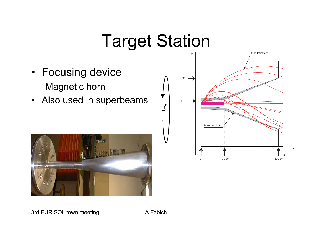#### Target Station

- Focusing device Magnetic horn
- Also used in superbeams



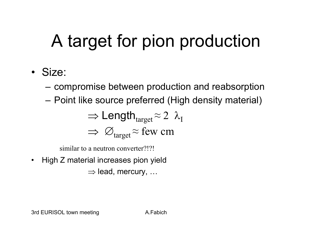## A target for pion production

- Size:
	- compromise between production and reabsorption
	- Point like source preferred (High density material)

$$
\Rightarrow \text{Length}_{target} \approx 2 \ \lambda_I
$$
  

$$
\Rightarrow \varnothing_{target} \approx \text{few cm}
$$

similar to a neutron converter?!?!

•High Z material increases pion yield

 $\Rightarrow$  lead, mercury, …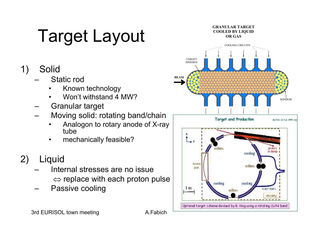## **Target Layout**

#### 1) Solid

- –Static rod
	- •Known technology
	- •Won't withstand 4 MW?
- –Granular target
- –Moving solid: rotating band/chain
	- • Analogon to rotary anode of X-ray tube
	- •mechanically feasible?

#### 2) Liquid

- – Internal stresses are no issue ⇔ replace with each proton pulse
- –Passive cooling



3rd EURISOL town meeting The A.Fabich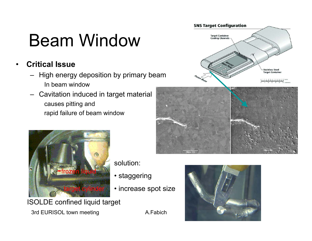#### Beam Window

**Critical Issue**

•

- – High energy deposition by primary beam In beam window
- –Cavitation induced in target material causes pitting and rapid failure of beam window







solution:

- staggering
- increase spot size

ISOLDE confined liquid target

3rd EURISOL town meeting A.Fabich

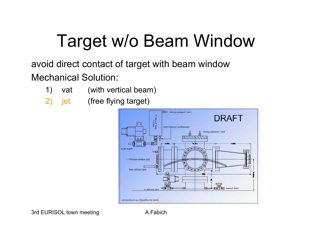### Target w/o Beam Window

#### avoid direct contact of target with beam window Mechanical Solution:

- 1) vat (with vertical beam)
- 2) jet (free flying target)

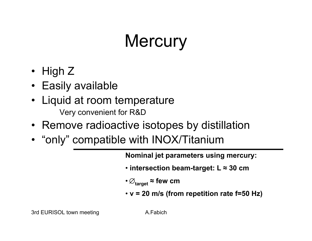### **Mercury**

- High Z
- Easily available
- Liquid at room temperature Very convenient for R&D
- Remove radioactive isotopes by distillation
- "only" compatible with INOX/Titanium

**Nominal jet parameters using mercury:**

- **intersection beam-target: L ≈ 30 cm**
- <sup>∅</sup>**target ≈ few cm**
- **v = 20 m/s (from repetition rate f=50 Hz)**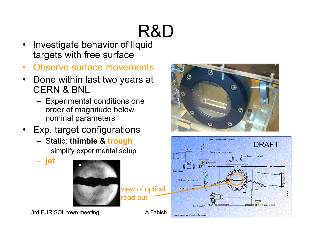# R&D

- • Investigate behavior of liquid targets with free surface
- $\bullet$ Observe surface movements
- •Done within last two years at CERN & BNL
	- Experimental conditions one order of magnitude below nominal parameters
- •Exp. target configurations
	- Static: **thimble & trough** simplify experimental setup

**jet**



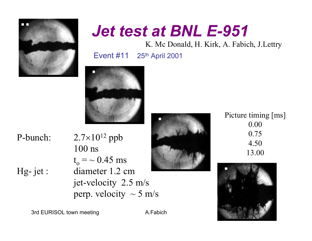

#### *Jet test at BNL E-951*

K. Mc Donald, H. Kirk, A. Fabich, J.Lettry

Event #11 25th April 2001



P-bunch:

Hg-jet :

 $7\times10^{12}$  ppb 100 ns $\rm t_o^{}=$   $\sim 0.45~\rm ms$ diameter 1.2 cm jet-velocity 2.5 m/s perp. velocity  $\sim$  5 m/s



#### Picture timing [ms] 0.000.754.5013.00



3rd EURISOL town meeting A.Fabich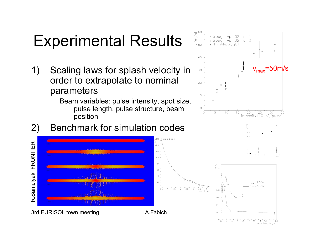#### Experimental Results

1) Scaling laws for splash velocity in order to extrapolate to nominal parameters

> Beam variables: pulse intensity, spot size, pulse length, pulse structure, beam position



 $10$  $12$ 

я

 $14 - 16$ 

pulse length  $[\mu s]$ 

2) Benchmark for simulation codes